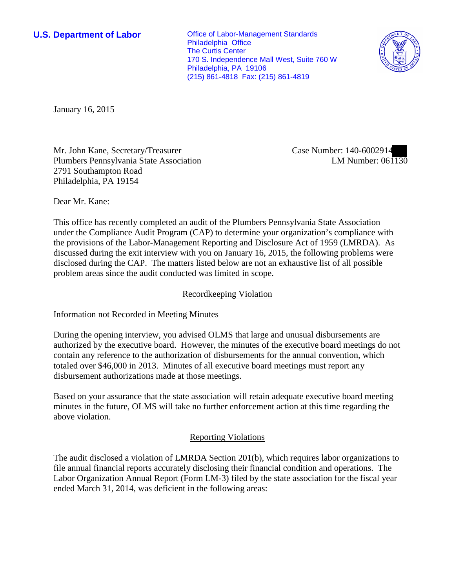**U.S. Department of Labor Conservative Conservative Conservative Conservative Conservative Conservative Conservative Conservative Conservative Conservative Conservative Conservative Conservative Conservative Conservative** Philadelphia Office The Curtis Center 170 S. Independence Mall West, Suite 760 W Philadelphia, PA 19106 (215) 861-4818 Fax: (215) 861-4819



January 16, 2015

Mr. John Kane, Secretary/Treasurer Plumbers Pennsylvania State Association 2791 Southampton Road Philadelphia, PA 19154

Case Number: 140-6002914 LM Number: 061130

Dear Mr. Kane:

This office has recently completed an audit of the Plumbers Pennsylvania State Association under the Compliance Audit Program (CAP) to determine your organization's compliance with the provisions of the Labor-Management Reporting and Disclosure Act of 1959 (LMRDA). As discussed during the exit interview with you on January 16, 2015, the following problems were disclosed during the CAP. The matters listed below are not an exhaustive list of all possible problem areas since the audit conducted was limited in scope.

## Recordkeeping Violation

Information not Recorded in Meeting Minutes

During the opening interview, you advised OLMS that large and unusual disbursements are authorized by the executive board. However, the minutes of the executive board meetings do not contain any reference to the authorization of disbursements for the annual convention, which totaled over \$46,000 in 2013. Minutes of all executive board meetings must report any disbursement authorizations made at those meetings.

Based on your assurance that the state association will retain adequate executive board meeting minutes in the future, OLMS will take no further enforcement action at this time regarding the above violation.

## Reporting Violations

The audit disclosed a violation of LMRDA Section 201(b), which requires labor organizations to file annual financial reports accurately disclosing their financial condition and operations. The Labor Organization Annual Report (Form LM-3) filed by the state association for the fiscal year ended March 31, 2014, was deficient in the following areas: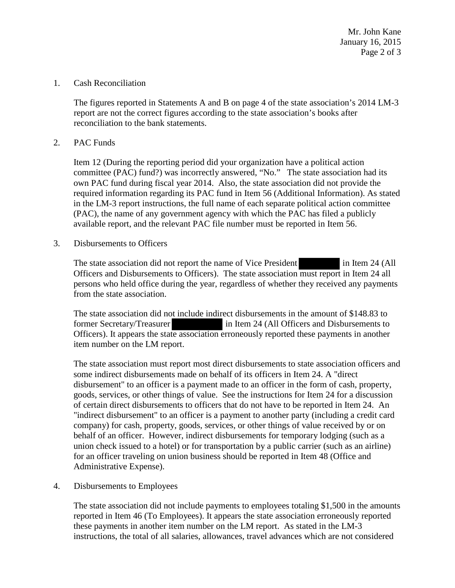Mr. John Kane January 16, 2015 Page 2 of 3

### 1. Cash Reconciliation

The figures reported in Statements A and B on page 4 of the state association's 2014 LM-3 report are not the correct figures according to the state association's books after reconciliation to the bank statements.

## 2. PAC Funds

Item 12 (During the reporting period did your organization have a political action committee (PAC) fund?) was incorrectly answered, "No." The state association had its own PAC fund during fiscal year 2014. Also, the state association did not provide the required information regarding its PAC fund in Item 56 (Additional Information). As stated in the LM-3 report instructions, the full name of each separate political action committee (PAC), the name of any government agency with which the PAC has filed a publicly available report, and the relevant PAC file number must be reported in Item 56.

3. Disbursements to Officers

The state association did not report the name of Vice President in Item 24 (All Officers and Disbursements to Officers). The state association must report in Item 24 all persons who held office during the year, regardless of whether they received any payments from the state association.

The state association did not include indirect disbursements in the amount of \$148.83 to former Secretary/Treasurer in Item 24 (All Officers and Disbursements to Officers). It appears the state association erroneously reported these payments in another item number on the LM report.

The state association must report most direct disbursements to state association officers and some indirect disbursements made on behalf of its officers in Item 24. A "direct disbursement" to an officer is a payment made to an officer in the form of cash, property, goods, services, or other things of value. See the instructions for Item 24 for a discussion of certain direct disbursements to officers that do not have to be reported in Item 24. An "indirect disbursement" to an officer is a payment to another party (including a credit card company) for cash, property, goods, services, or other things of value received by or on behalf of an officer. However, indirect disbursements for temporary lodging (such as a union check issued to a hotel) or for transportation by a public carrier (such as an airline) for an officer traveling on union business should be reported in Item 48 (Office and Administrative Expense).

#### 4. Disbursements to Employees

The state association did not include payments to employees totaling \$1,500 in the amounts reported in Item 46 (To Employees). It appears the state association erroneously reported these payments in another item number on the LM report. As stated in the LM-3 instructions, the total of all salaries, allowances, travel advances which are not considered